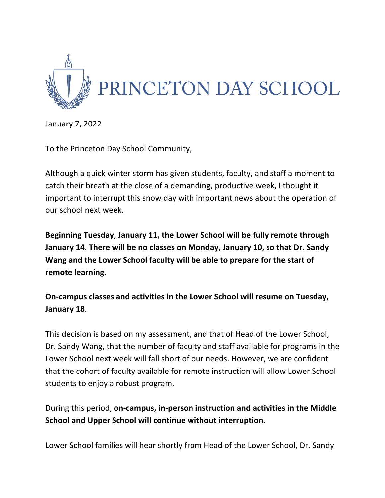

January 7, 2022

To the Princeton Day School Community,

Although a quick winter storm has given students, faculty, and staff a moment to catch their breath at the close of a demanding, productive week, I thought it important to interrupt this snow day with important news about the operation of our school next week.

**Beginning Tuesday, January 11, the Lower School will be fully remote through January 14**. **There will be no classes on Monday, January 10, so that Dr. Sandy Wang and the Lower School faculty will be able to prepare for the start of remote learning**.

**On-campus classes and activities in the Lower School will resume on Tuesday, January 18**.

This decision is based on my assessment, and that of Head of the Lower School, Dr. Sandy Wang, that the number of faculty and staff available for programs in the Lower School next week will fall short of our needs. However, we are confident that the cohort of faculty available for remote instruction will allow Lower School students to enjoy a robust program.

During this period, **on-campus, in-person instruction and activities in the Middle School and Upper School will continue without interruption**.

Lower School families will hear shortly from Head of the Lower School, Dr. Sandy